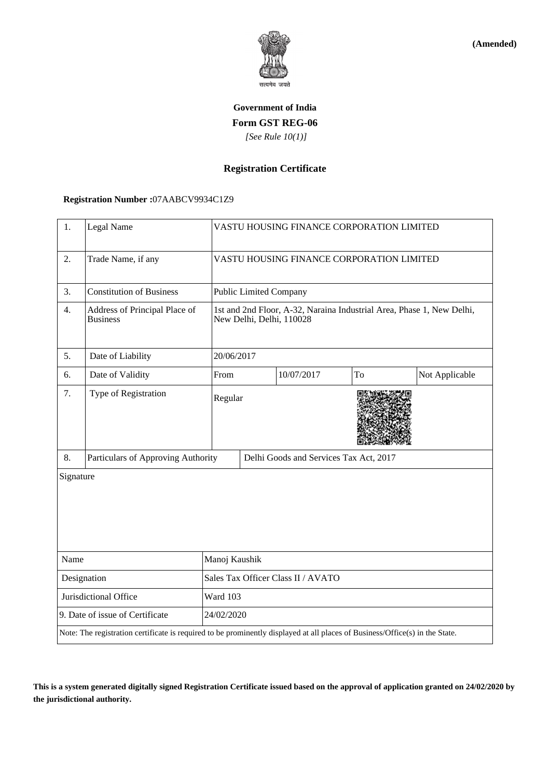

**(Amended)**

# **Government of India Form GST REG-06**  *[See Rule 10(1)]*

### **Registration Certificate**

#### **Registration Number :**07AABCV9934C1Z9

| 1.                              | Legal Name                                                                                                                   |                                    | VASTU HOUSING FINANCE CORPORATION LIMITED                                                         |            |    |                |  |
|---------------------------------|------------------------------------------------------------------------------------------------------------------------------|------------------------------------|---------------------------------------------------------------------------------------------------|------------|----|----------------|--|
| 2.                              | Trade Name, if any                                                                                                           |                                    | VASTU HOUSING FINANCE CORPORATION LIMITED                                                         |            |    |                |  |
| 3.                              | <b>Constitution of Business</b>                                                                                              |                                    | <b>Public Limited Company</b>                                                                     |            |    |                |  |
| 4.                              | Address of Principal Place of<br><b>Business</b>                                                                             |                                    | 1st and 2nd Floor, A-32, Naraina Industrial Area, Phase 1, New Delhi,<br>New Delhi, Delhi, 110028 |            |    |                |  |
| 5.                              | Date of Liability                                                                                                            |                                    | 20/06/2017                                                                                        |            |    |                |  |
| 6.                              | Date of Validity                                                                                                             | From                               |                                                                                                   | 10/07/2017 | To | Not Applicable |  |
| 7.                              | Type of Registration                                                                                                         | Regular                            |                                                                                                   |            |    |                |  |
| 8.                              | Particulars of Approving Authority                                                                                           |                                    | Delhi Goods and Services Tax Act, 2017                                                            |            |    |                |  |
| Signature                       |                                                                                                                              |                                    |                                                                                                   |            |    |                |  |
| Name                            |                                                                                                                              | Manoj Kaushik                      |                                                                                                   |            |    |                |  |
| Designation                     |                                                                                                                              | Sales Tax Officer Class II / AVATO |                                                                                                   |            |    |                |  |
| Jurisdictional Office           |                                                                                                                              | Ward 103                           |                                                                                                   |            |    |                |  |
| 9. Date of issue of Certificate |                                                                                                                              |                                    | 24/02/2020                                                                                        |            |    |                |  |
|                                 | Note: The registration certificate is required to be prominently displayed at all places of Business/Office(s) in the State. |                                    |                                                                                                   |            |    |                |  |

**This is a system generated digitally signed Registration Certificate issued based on the approval of application granted on 24/02/2020 by the jurisdictional authority.**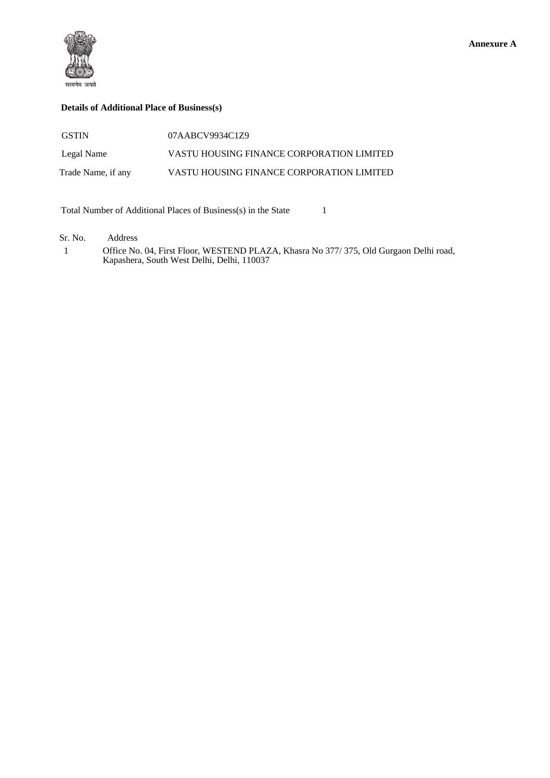

#### **Details of Additional Place of Business(s)**

| <b>GSTIN</b>       | 07AABCV9934C1Z9                           |
|--------------------|-------------------------------------------|
| Legal Name         | VASTU HOUSING FINANCE CORPORATION LIMITED |
| Trade Name, if any | VASTU HOUSING FINANCE CORPORATION LIMITED |

Total Number of Additional Places of Business(s) in the State 1

Sr. No. Address

 1 Office No. 04, First Floor, WESTEND PLAZA, Khasra No 377/ 375, Old Gurgaon Delhi road, Kapashera, South West Delhi, Delhi, 110037